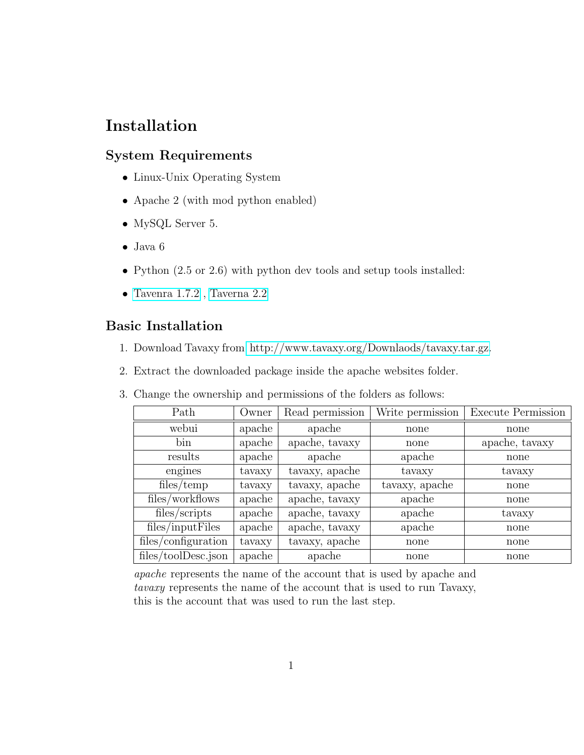# Installation

# System Requirements

- Linux-Unix Operating System
- Apache 2 (with mod python enabled)
- MySQL Server 5.
- Java 6
- Python  $(2.5 \text{ or } 2.6)$  with python dev tools and setup tools installed:
- $\bullet~$  Tavenra  $1.7.2$  , Taverna  $2.2$

## Basic Installation

- 1. Download Tavaxy from [http://www.tavaxy.org/Downlaods/tavaxy.tar.gz.]( http://www.tavaxy.org/Downlaods/tavaxy.tar.gz)
- 2. Extract the downloaded package inside the apache websites folder.
- 3. Change the ownership and permissions of the folders as follows:

| Path                | Owner  | Read permission | Write permission | <b>Execute Permission</b> |
|---------------------|--------|-----------------|------------------|---------------------------|
| webui               | apache | apache          | none             | none                      |
| bin                 | apache | apache, tavaxy  | none             | apache, tavaxy            |
| results             | apache | apache          | apache           | none                      |
| engines             | tavaxy | tavaxy, apache  | tavaxy           | tavaxy                    |
| files/temp          | tavaxy | tavaxy, apache  | tavaxy, apache   | none                      |
| files/workflows     | apache | apache, tavaxy  | apache           | none                      |
| files/scripts       | apache | apache, tavaxy  | apache           | tavaxy                    |
| files/inputFiles    | apache | apache, tavaxy  | apache           | none                      |
| files/configuration | tavaxy | tavaxy, apache  | none             | none                      |
| files/toolDesc.json | apache | apache          | none             | none                      |

apache represents the name of the account that is used by apache and tavaxy represents the name of the account that is used to run Tavaxy, this is the account that was used to run the last step.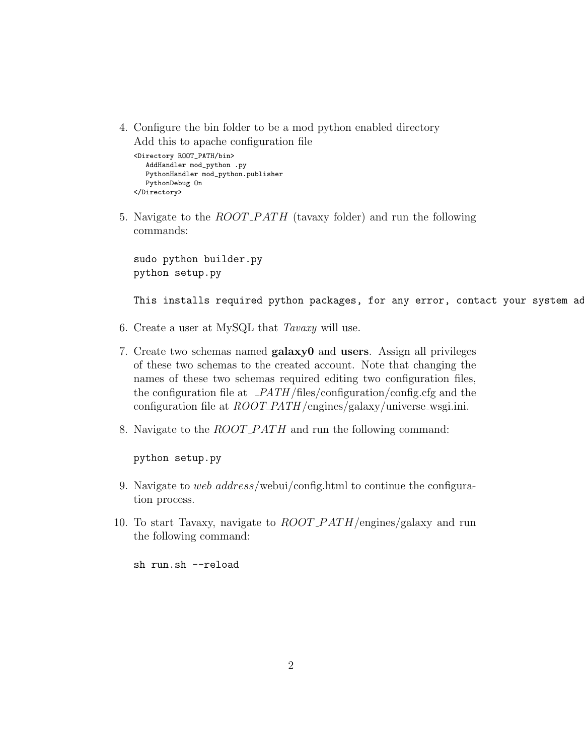4. Configure the bin folder to be a mod python enabled directory Add this to apache configuration file

```
<Directory ROOT_PATH/bin>
   AddHandler mod_python .py
   PythonHandler mod_python.publisher
  PythonDebug On
</Directory>
```
5. Navigate to the *ROOT\_PATH* (tavaxy folder) and run the following commands:

sudo python builder.py python setup.py

This installs required python packages, for any error, contact your system ad

- 6. Create a user at MySQL that Tavaxy will use.
- 7. Create two schemas named galaxy0 and users. Assign all privileges of these two schemas to the created account. Note that changing the names of these two schemas required editing two configuration files, the configuration file at  $PATH$ /files/configuration/config.cfg and the configuration file at  $ROOT\_PATH$ /engines/galaxy/universe\_wsgi.ini.
- 8. Navigate to the *ROOT\_PATH* and run the following command:

python setup.py

- 9. Navigate to web *address*/webui/config.html to continue the configuration process.
- 10. To start Tavaxy, navigate to  $ROOT\_PATH$ /engines/galaxy and run the following command:

sh run.sh --reload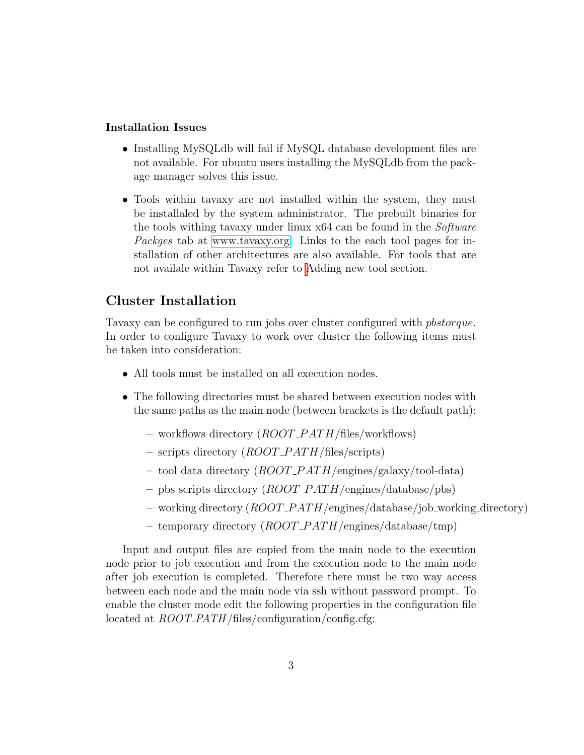### Installation Issues

- Installing MySQLdb will fail if MySQL database development files are not available. For ubuntu users installing the MySQLdb from the package manager solves this issue.
- Tools within tavaxy are not installed within the system, they must be installaled by the system administrator. The prebuilt binaries for the tools withing tavaxy under linux x64 can be found in the Software Packges tab at [www.tavaxy.org.](file:www.tavaxy.org) Links to the each tool pages for installation of other architectures are also available. For tools that are not availale within Tavaxy refer to [A](#page-3-0)dding new tool section.

### Cluster Installation

Tavaxy can be configured to run jobs over cluster configured with pbstorque. In order to configure Tavaxy to work over cluster the following items must be taken into consideration:

- All tools must be installed on all execution nodes.
- The following directories must be shared between execution nodes with the same paths as the main node (between brackets is the default path):
	- workflows directory  $(ROOT\_PATH/\text{files}/\text{workflows})$
	- scripts directory  $(ROOT\_PATH/\text{files/scripts})$
	- tool data directory  $(ROOT\_PATH/engines/galaxy/tool-data)$
	- pbs scripts directory  $(ROOT\_PATH / engines / database / obs)$
	- working directory  $(ROOT\_PATH / engines / database / job\_working\_directory)$
	- temporary directory  $(ROOT\_PATH/engines/database/tmp)$

Input and output files are copied from the main node to the execution node prior to job execution and from the execution node to the main node after job execution is completed. Therefore there must be two way access between each node and the main node via ssh without password prompt. To enable the cluster mode edit the following properties in the configuration file located at  $ROOT\_PATH / files / configuration / config.cfg$ :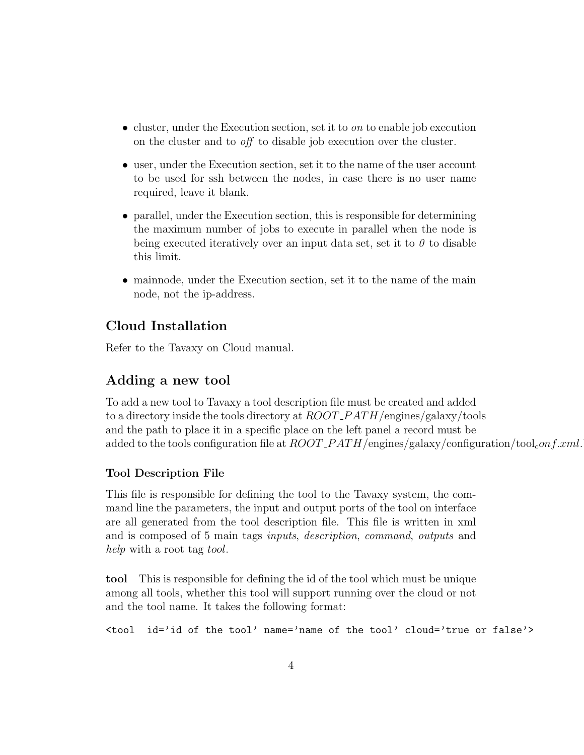- cluster, under the Execution section, set it to  $\omega$  to enable job execution on the cluster and to off to disable job execution over the cluster.
- user, under the Execution section, set it to the name of the user account to be used for ssh between the nodes, in case there is no user name required, leave it blank.
- parallel, under the Execution section, this is responsible for determining the maximum number of jobs to execute in parallel when the node is being executed iteratively over an input data set, set it to  $\theta$  to disable this limit.
- mainnode, under the Execution section, set it to the name of the main node, not the ip-address.

# Cloud Installation

Refer to the Tavaxy on Cloud manual.

## Adding a new tool

<span id="page-3-0"></span>To add a new tool to Tavaxy a tool description file must be created and added to a directory inside the tools directory at  $ROOT$ - $PATH$ /engines/galaxy/tools and the path to place it in a specific place on the left panel a record must be added to the tools configuration file at  $ROOT$ -PATH/engines/galaxy/configuration/tool<sub>c</sub>onf.xml.

### Tool Description File

This file is responsible for defining the tool to the Tavaxy system, the command line the parameters, the input and output ports of the tool on interface are all generated from the tool description file. This file is written in xml and is composed of 5 main tags inputs, description, command, outputs and help with a root tag tool.

tool This is responsible for defining the id of the tool which must be unique among all tools, whether this tool will support running over the cloud or not and the tool name. It takes the following format:

<tool id='id of the tool' name='name of the tool' cloud='true or false'>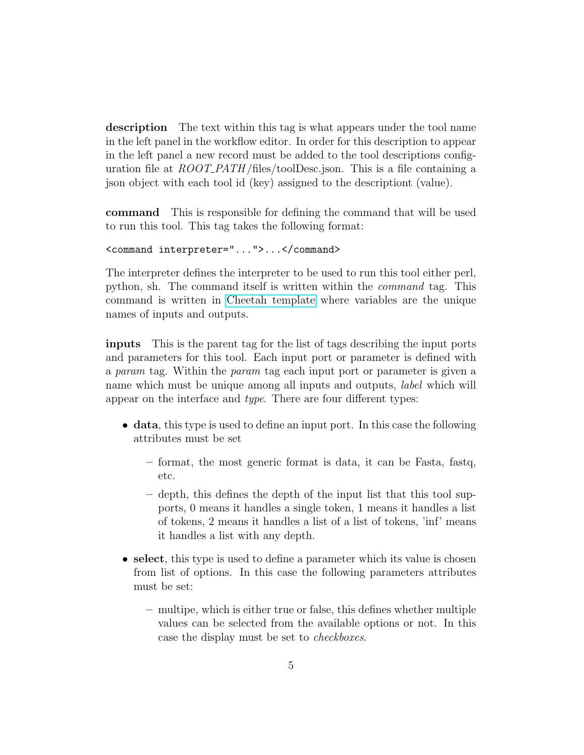description The text within this tag is what appears under the tool name in the left panel in the workflow editor. In order for this description to appear in the left panel a new record must be added to the tool descriptions configuration file at  $ROOT.PATH$  files/toolDesc.json. This is a file containing a json object with each tool id (key) assigned to the descriptiont (value).

command This is responsible for defining the command that will be used to run this tool. This tag takes the following format:

```
<command interpreter="...">...</command>
```
The interpreter defines the interpreter to be used to run this tool either perl, python, sh. The command itself is written within the command tag. This command is written in [Cheetah template](http://www.cheetahtemplate.org/) where variables are the unique names of inputs and outputs.

inputs This is the parent tag for the list of tags describing the input ports and parameters for this tool. Each input port or parameter is defined with a param tag. Within the param tag each input port or parameter is given a name which must be unique among all inputs and outputs, label which will appear on the interface and type. There are four different types:

- data, this type is used to define an input port. In this case the following attributes must be set
	- format, the most generic format is data, it can be Fasta, fastq, etc.
	- depth, this defines the depth of the input list that this tool supports, 0 means it handles a single token, 1 means it handles a list of tokens, 2 means it handles a list of a list of tokens, 'inf' means it handles a list with any depth.
- select, this type is used to define a parameter which its value is chosen from list of options. In this case the following parameters attributes must be set:
	- multipe, which is either true or false, this defines whether multiple values can be selected from the available options or not. In this case the display must be set to checkboxes.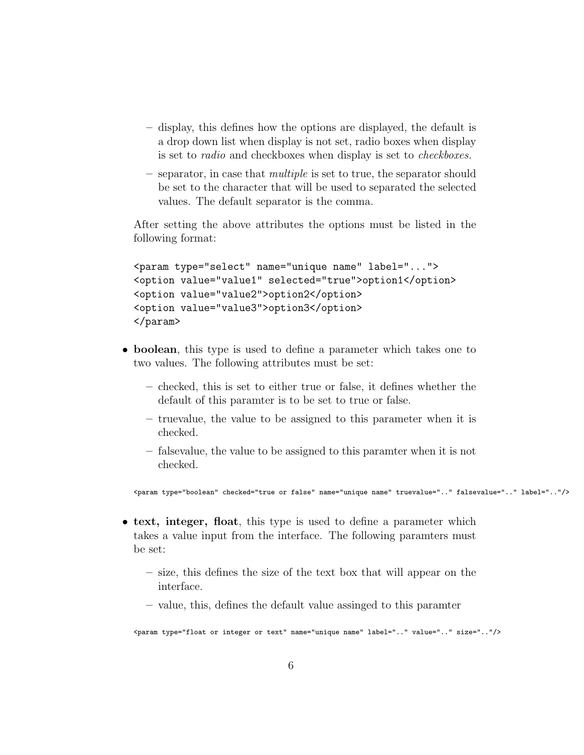- display, this defines how the options are displayed, the default is a drop down list when display is not set, radio boxes when display is set to radio and checkboxes when display is set to checkboxes.
- separator, in case that multiple is set to true, the separator should be set to the character that will be used to separated the selected values. The default separator is the comma.

After setting the above attributes the options must be listed in the following format:

```
<param type="select" name="unique name" label="...">
<option value="value1" selected="true">option1</option>
<option value="value2">option2</option>
<option value="value3">option3</option>
</param>
```
- boolean, this type is used to define a parameter which takes one to two values. The following attributes must be set:
	- checked, this is set to either true or false, it defines whether the default of this paramter is to be set to true or false.
	- truevalue, the value to be assigned to this parameter when it is checked.
	- falsevalue, the value to be assigned to this paramter when it is not checked.

<param type="boolean" checked="true or false" name="unique name" truevalue=".." falsevalue=".." label=".."/>

- text, integer, float, this type is used to define a parameter which takes a value input from the interface. The following paramters must be set:
	- size, this defines the size of the text box that will appear on the interface.
	- value, this, defines the default value assinged to this paramter

<param type="float or integer or text" name="unique name" label=".." value=".." size=".."/>